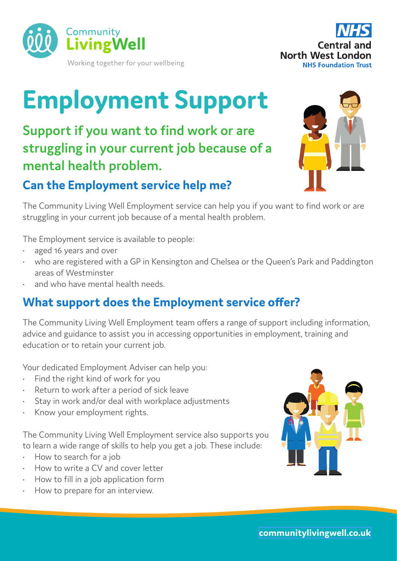



# **Employment Support**

**Support if you want to find work or are struggling in your current job because of a mental health problem.**

# **Can the Employment service help me?**

The Community Living Well Employment service can help you if you want to find work or are struggling in your current job because of a mental health problem.

The Employment service is available to people:

- aged 16 years and over
- who are registered with a GP in Kensington and Chelsea or the Queen's Park and Paddington areas of Westminster
- and who have mental health needs.

# **What support does the Employment service offer?**

The Community Living Well Employment team offers a range of support including information, advice and guidance to assist you in accessing opportunities in employment, training and education or to retain your current job.

Your dedicated Employment Adviser can help you:

- Find the right kind of work for you
- Return to work after a period of sick leave
- Stay in work and/or deal with workplace adjustments
- Know your employment rights.

The Community Living Well Employment service also supports you to learn a wide range of skills to help you get a job. These include:

- How to search for a job
- How to write a CV and cover letter
- How to fill in a job application form
- How to prepare for an interview.





**[communitylivingwell.co.uk](http://www.communitylivingwell.co.uk)**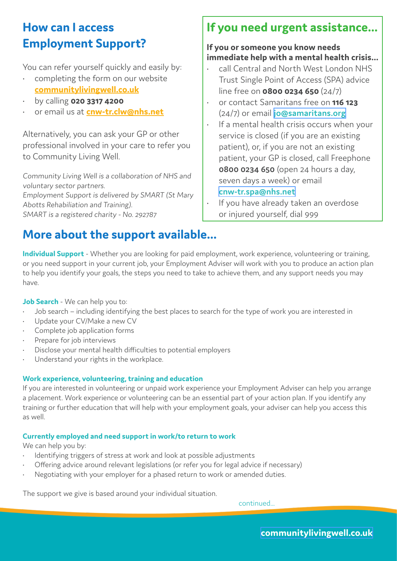## **How can I access Employment Support?**

You can refer yourself quickly and easily by:

- completing the form on our website **[communitylivingwell.co.uk](http://www.communitylivingwell.co.uk)**
- by calling **020 3317 4200**
- or email us at **[cnw-tr.clw@nhs.net](mailto:cnw-tr.clw%40nhs.net?subject=)**

Alternatively, you can ask your GP or other professional involved in your care to refer you to Community Living Well.

Community Living Well is a collaboration of NHS and voluntary sector partners. Employment Support is delivered by SMART (St Mary Abotts Rehabiliation and Training). SMART is a registered charity - No. 292787

# **More about the support available...**

## **If you need urgent assistance...**

#### **If you or someone you know needs immediate help with a mental health crisis...**

- call Central and North West London NHS Trust Single Point of Access (SPA) advice line free on **0800 0234 650** (24/7)
- or contact Samaritans free on **116 123**  (24/7) or email **[jo@samaritans.org](mailto:jo%40samaritans.org?subject=)**
- If a mental health crisis occurs when your service is closed (if you are an existing patient), or, if you are not an existing patient, your GP is closed, call Freephone **0800 0234 650** (open 24 hours a day, seven days a week) or email **[cnw-tr.spa@nhs.net](mailto:cnw-tr.spa%40nhs.net?subject=)**
- If you have already taken an overdose or injured yourself, dial 999

**Individual Support** - Whether you are looking for paid employment, work experience, volunteering or training, or you need support in your current job, your Employment Adviser will work with you to produce an action plan to help you identify your goals, the steps you need to take to achieve them, and any support needs you may have.

**Job Search** - We can help you to:

- Job search including identifying the best places to search for the type of work you are interested in
- Update your CV/Make a new CV
- Complete job application forms
- Prepare for job interviews
- Disclose your mental health difficulties to potential employers
- Understand your rights in the workplace.

#### **Work experience, volunteering, training and education**

If you are interested in volunteering or unpaid work experience your Employment Adviser can help you arrange a placement. Work experience or volunteering can be an essential part of your action plan. If you identify any training or further education that will help with your employment goals, your adviser can help you access this as well.

#### **Currently employed and need support in work/to return to work**

We can help you by:

- Identifying triggers of stress at work and look at possible adjustments
- Offering advice around relevant legislations (or refer you for legal advice if necessary)
- Negotiating with your employer for a phased return to work or amended duties.

The support we give is based around your individual situation.

continued...